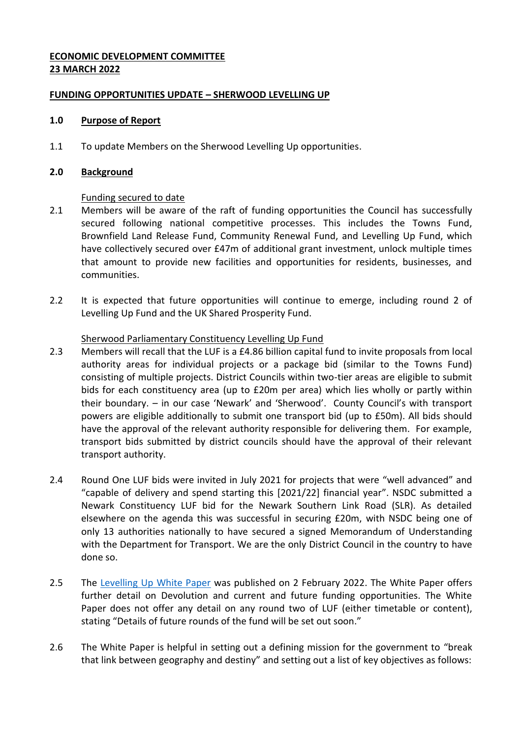# **ECONOMIC DEVELOPMENT COMMITTEE 23 MARCH 2022**

# **FUNDING OPPORTUNITIES UPDATE – SHERWOOD LEVELLING UP**

#### **1.0 Purpose of Report**

1.1 To update Members on the Sherwood Levelling Up opportunities.

#### **2.0 Background**

### Funding secured to date

- 2.1 Members will be aware of the raft of funding opportunities the Council has successfully secured following national competitive processes. This includes the Towns Fund, Brownfield Land Release Fund, Community Renewal Fund, and Levelling Up Fund, which have collectively secured over £47m of additional grant investment, unlock multiple times that amount to provide new facilities and opportunities for residents, businesses, and communities.
- 2.2 It is expected that future opportunities will continue to emerge, including round 2 of Levelling Up Fund and the UK Shared Prosperity Fund.

### Sherwood Parliamentary Constituency Levelling Up Fund

- 2.3 Members will recall that the LUF is a £4.86 billion capital fund to invite proposals from local authority areas for individual projects or a package bid (similar to the Towns Fund) consisting of multiple projects. District Councils within two-tier areas are eligible to submit bids for each constituency area (up to £20m per area) which lies wholly or partly within their boundary. – in our case 'Newark' and 'Sherwood'. County Council's with transport powers are eligible additionally to submit one transport bid (up to £50m). All bids should have the approval of the relevant authority responsible for delivering them. For example, transport bids submitted by district councils should have the approval of their relevant transport authority.
- 2.4 Round One LUF bids were invited in July 2021 for projects that were "well advanced" and "capable of delivery and spend starting this [2021/22] financial year". NSDC submitted a Newark Constituency LUF bid for the Newark Southern Link Road (SLR). As detailed elsewhere on the agenda this was successful in securing £20m, with NSDC being one of only 13 authorities nationally to have secured a signed Memorandum of Understanding with the Department for Transport. We are the only District Council in the country to have done so.
- 2.5 The [Levelling Up White Paper](https://assets.publishing.service.gov.uk/government/uploads/system/uploads/attachment_data/file/1052706/Levelling_Up_WP_HRES.pdf) was published on 2 February 2022. The White Paper offers further detail on Devolution and current and future funding opportunities. The White Paper does not offer any detail on any round two of LUF (either timetable or content), stating "Details of future rounds of the fund will be set out soon."
- 2.6 The White Paper is helpful in setting out a defining mission for the government to "break that link between geography and destiny" and setting out a list of key objectives as follows: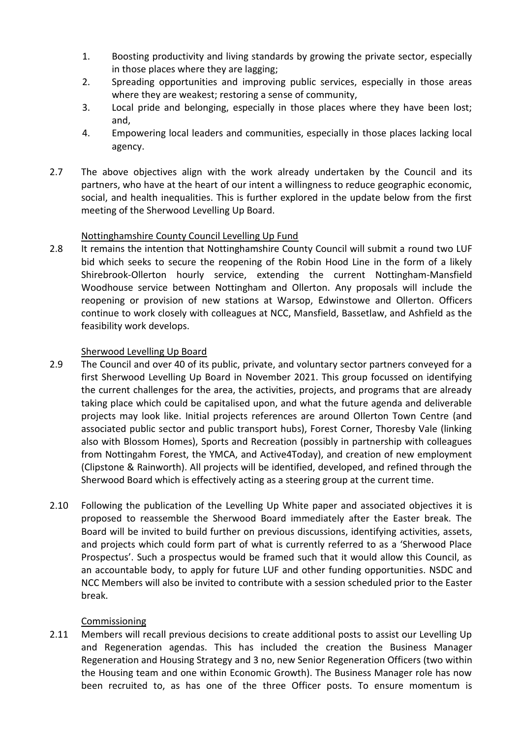- 1. Boosting productivity and living standards by growing the private sector, especially in those places where they are lagging;
- 2. Spreading opportunities and improving public services, especially in those areas where they are weakest; restoring a sense of community,
- 3. Local pride and belonging, especially in those places where they have been lost; and,
- 4. Empowering local leaders and communities, especially in those places lacking local agency.
- 2.7 The above objectives align with the work already undertaken by the Council and its partners, who have at the heart of our intent a willingness to reduce geographic economic, social, and health inequalities. This is further explored in the update below from the first meeting of the Sherwood Levelling Up Board.

# Nottinghamshire County Council Levelling Up Fund

2.8 It remains the intention that Nottinghamshire County Council will submit a round two LUF bid which seeks to secure the reopening of the Robin Hood Line in the form of a likely Shirebrook-Ollerton hourly service, extending the current Nottingham-Mansfield Woodhouse service between Nottingham and Ollerton. Any proposals will include the reopening or provision of new stations at Warsop, Edwinstowe and Ollerton. Officers continue to work closely with colleagues at NCC, Mansfield, Bassetlaw, and Ashfield as the feasibility work develops.

# Sherwood Levelling Up Board

- 2.9 The Council and over 40 of its public, private, and voluntary sector partners conveyed for a first Sherwood Levelling Up Board in November 2021. This group focussed on identifying the current challenges for the area, the activities, projects, and programs that are already taking place which could be capitalised upon, and what the future agenda and deliverable projects may look like. Initial projects references are around Ollerton Town Centre (and associated public sector and public transport hubs), Forest Corner, Thoresby Vale (linking also with Blossom Homes), Sports and Recreation (possibly in partnership with colleagues from Nottingahm Forest, the YMCA, and Active4Today), and creation of new employment (Clipstone & Rainworth). All projects will be identified, developed, and refined through the Sherwood Board which is effectively acting as a steering group at the current time.
- 2.10 Following the publication of the Levelling Up White paper and associated objectives it is proposed to reassemble the Sherwood Board immediately after the Easter break. The Board will be invited to build further on previous discussions, identifying activities, assets, and projects which could form part of what is currently referred to as a 'Sherwood Place Prospectus'. Such a prospectus would be framed such that it would allow this Council, as an accountable body, to apply for future LUF and other funding opportunities. NSDC and NCC Members will also be invited to contribute with a session scheduled prior to the Easter break.

# Commissioning

2.11 Members will recall previous decisions to create additional posts to assist our Levelling Up and Regeneration agendas. This has included the creation the Business Manager Regeneration and Housing Strategy and 3 no, new Senior Regeneration Officers (two within the Housing team and one within Economic Growth). The Business Manager role has now been recruited to, as has one of the three Officer posts. To ensure momentum is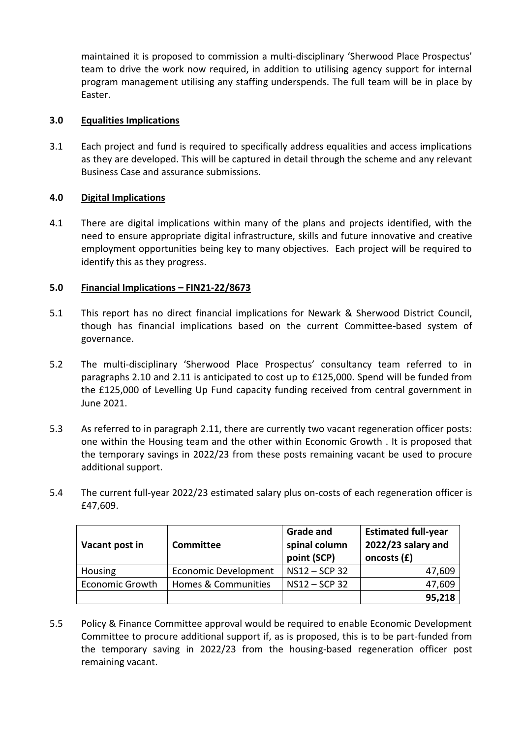maintained it is proposed to commission a multi-disciplinary 'Sherwood Place Prospectus' team to drive the work now required, in addition to utilising agency support for internal program management utilising any staffing underspends. The full team will be in place by Easter.

# **3.0 Equalities Implications**

3.1 Each project and fund is required to specifically address equalities and access implications as they are developed. This will be captured in detail through the scheme and any relevant Business Case and assurance submissions.

# **4.0 Digital Implications**

4.1 There are digital implications within many of the plans and projects identified, with the need to ensure appropriate digital infrastructure, skills and future innovative and creative employment opportunities being key to many objectives. Each project will be required to identify this as they progress.

# **5.0 Financial Implications – FIN21-22/8673**

- 5.1 This report has no direct financial implications for Newark & Sherwood District Council, though has financial implications based on the current Committee-based system of governance.
- 5.2 The multi-disciplinary 'Sherwood Place Prospectus' consultancy team referred to in paragraphs 2.10 and 2.11 is anticipated to cost up to £125,000. Spend will be funded from the £125,000 of Levelling Up Fund capacity funding received from central government in June 2021.
- 5.3 As referred to in paragraph 2.11, there are currently two vacant regeneration officer posts: one within the Housing team and the other within Economic Growth . It is proposed that the temporary savings in 2022/23 from these posts remaining vacant be used to procure additional support.
- 5.4 The current full-year 2022/23 estimated salary plus on-costs of each regeneration officer is £47,609.

| Vacant post in         | Committee                   | <b>Grade and</b><br>spinal column<br>point (SCP) | <b>Estimated full-year</b><br>2022/23 salary and<br>oncosts (£) |
|------------------------|-----------------------------|--------------------------------------------------|-----------------------------------------------------------------|
| Housing                | <b>Economic Development</b> | NS12-SCP 32                                      | 47,609                                                          |
| <b>Economic Growth</b> | Homes & Communities         | NS12-SCP 32                                      | 47,609                                                          |
|                        |                             |                                                  | 95,218                                                          |

5.5 Policy & Finance Committee approval would be required to enable Economic Development Committee to procure additional support if, as is proposed, this is to be part-funded from the temporary saving in 2022/23 from the housing-based regeneration officer post remaining vacant.